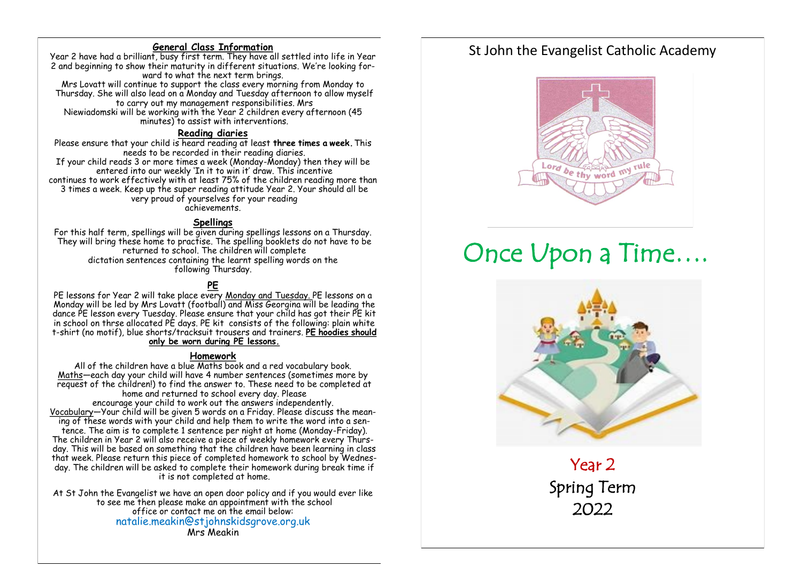#### **General Class Information**

Year 2 have had a brilliant, busy first term. They have all settled into life in Year 2 and beginning to show their maturity in different situations. We're looking forward to what the next term brings.

Mrs Lovatt will continue to support the class every morning from Monday to Thursday. She will also lead on a Monday and Tuesday afternoon to allow myself to carry out my management responsibilities. Mrs Niewiadomski will be working with the Year 2 children every afternoon (45 minutes) to assist with interventions.

#### **Reading diaries**

Please ensure that your child is heard reading at least **three times a week.** This needs to be recorded in their reading diaries. If your child reads 3 or more times a week (Monday-Monday) then they will be entered into our weekly 'In it to win it' draw. This incentive continues to work effectively with at least 75% of the children reading more than 3 times a week. Keep up the super reading attitude Year 2. Your should all be very proud of yourselves for your reading achievements.

#### **Spellings**

For this half term, spellings will be given during spellings lessons on a Thursday. They will bring these home to practise. The spelling booklets do not have to be returned to school. The children will complete dictation sentences containing the learnt spelling words on the following Thursday.

#### **PE**

PE lessons for Year 2 will take place every Monday and Tuesday. PE lessons on a Monday will be led by Mrs Lovatt (football) and Miss Georgina will be leading the dance PE lesson every Tuesday. Please ensure that your child has got their PE kit in school on thrse allocated PE days. PE kit consists of the following: plain white t-shirt (no motif), blue shorts/tracksuit trousers and trainers. **PE hoodies should only be worn during PE lessons.** 

#### **Homework**

All of the children have a blue Maths book and a red vocabulary book. Maths—each day your child will have 4 number sentences (sometimes more by request of the children!) to find the answer to. These need to be completed at home and returned to school every day. Please encourage your child to work out the answers independently. Vocabulary—Your child will be given 5 words on a Friday. Please discuss the meaning of these words with your child and help them to write the word into a sentence. The aim is to complete 1 sentence per night at home (Monday-Friday). The children in Year 2 will also receive a piece of weekly homework every Thursday. This will be based on something that the children have been learning in class that week. Please return this piece of completed homework to school by Wednesday. The children will be asked to complete their homework during break time if it is not completed at home.

At St John the Evangelist we have an open door policy and if you would ever like to see me then please make an appointment with the school office or contact me on the email below: natalie.meakin@stjohnskidsgrove.org.uk Mrs Meakin

# St John the Evangelist Catholic Academy



# Once Upon a Time….



Year 2 Spring Term 2022